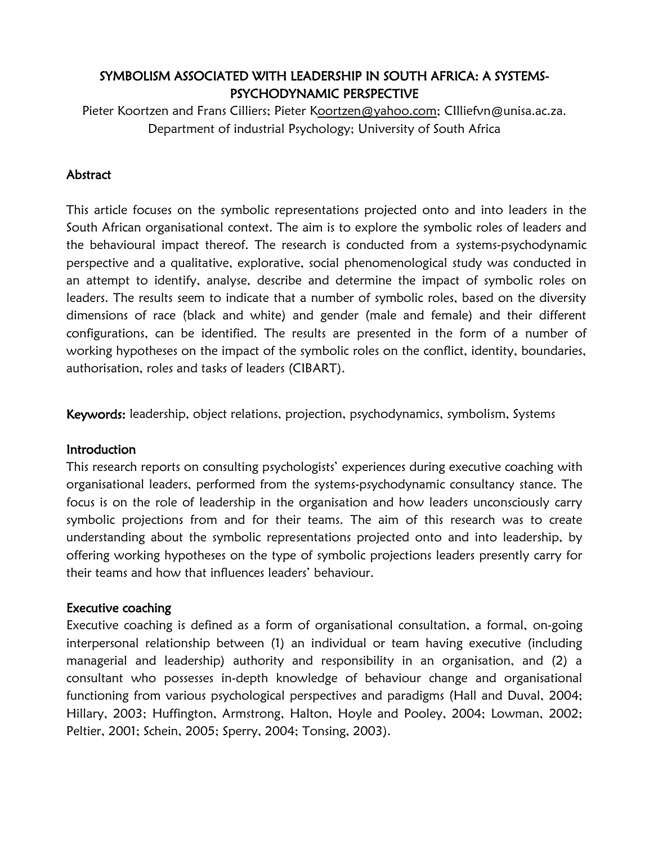# SYMBOLISM ASSOCIATED WITH LEADERSHIP IN SOUTH AFRICA: A SYSTEMS-PSYCHODYNAMIC PERSPECTIVE

Pieter Koortzen and Frans Cilliers; Pieter [Koortzen@yahoo.com;](mailto:oortzen@yahoo.com) CIlliefvn@unisa.ac.za. Department of industrial Psychology; University of South Africa

# **Abstract**

This article focuses on the symbolic representations projected onto and into leaders in the South African organisational context. The aim is to explore the symbolic roles of leaders and the behavioural impact thereof. The research is conducted from a systems-psychodynamic perspective and a qualitative, explorative, social phenomenological study was conducted in an attempt to identify, analyse, describe and determine the impact of symbolic roles on leaders. The results seem to indicate that a number of symbolic roles, based on the diversity dimensions of race (black and white) and gender (male and female) and their different configurations, can be identified. The results are presented in the form of a number of working hypotheses on the impact of the symbolic roles on the conflict, identity, boundaries, authorisation, roles and tasks of leaders (CIBART).

Keywords: leadership, object relations, projection, psychodynamics, symbolism, Systems

## Introduction

This research reports on consulting psychologists' experiences during executive coaching with organisational leaders, performed from the systems-psychodynamic consultancy stance. The focus is on the role of leadership in the organisation and how leaders unconsciously carry symbolic projections from and for their teams. The aim of this research was to create understanding about the symbolic representations projected onto and into leadership, by offering working hypotheses on the type of symbolic projections leaders presently carry for their teams and how that influences leaders' behaviour.

#### Executive coaching

Executive coaching is defined as a form of organisational consultation, a formal, on-going interpersonal relationship between (1) an individual or team having executive (including managerial and leadership) authority and responsibility in an organisation, and (2) a consultant who possesses in-depth knowledge of behaviour change and organisational functioning from various psychological perspectives and paradigms (Hall and Duval, 2004; Hillary, 2003; Huffington, Armstrong, Halton, Hoyle and Pooley, 2004; Lowman, 2002; Peltier, 2001; Schein, 2005; Sperry, 2004; Tonsing, 2003).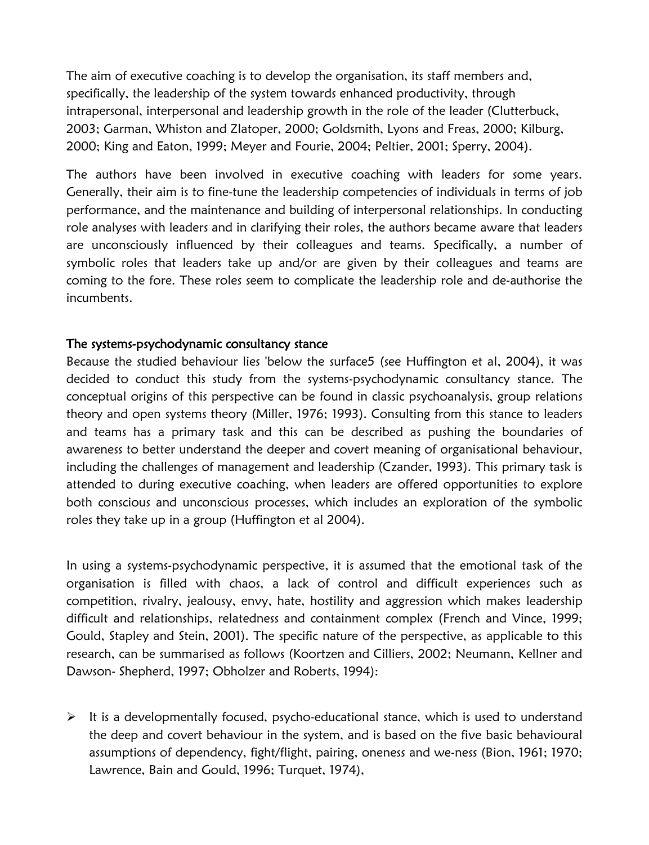The aim of executive coaching is to develop the organisation, its staff members and, specifically, the leadership of the system towards enhanced productivity, through intrapersonal, interpersonal and leadership growth in the role of the leader (Clutterbuck, 2003; Garman, Whiston and Zlatoper, 2000; Goldsmith, Lyons and Freas, 2000; Kilburg, 2000; King and Eaton, 1999; Meyer and Fourie, 2004; Peltier, 2001; Sperry, 2004).

The authors have been involved in executive coaching with leaders for some years. Generally, their aim is to fine-tune the leadership competencies of individuals in terms of job performance, and the maintenance and building of interpersonal relationships. In conducting role analyses with leaders and in clarifying their roles, the authors became aware that leaders are unconsciously influenced by their colleagues and teams. Specifically, a number of symbolic roles that leaders take up and/or are given by their colleagues and teams are coming to the fore. These roles seem to complicate the leadership role and de-authorise the incumbents.

## The systems-psychodynamic consultancy stance

Because the studied behaviour lies 'below the surface5 (see Huffington et al, 2004), it was decided to conduct this study from the systems-psychodynamic consultancy stance. The conceptual origins of this perspective can be found in classic psychoanalysis, group relations theory and open systems theory (Miller, 1976; 1993). Consulting from this stance to leaders and teams has a primary task and this can be described as pushing the boundaries of awareness to better understand the deeper and covert meaning of organisational behaviour, including the challenges of management and leadership (Czander, 1993). This primary task is attended to during executive coaching, when leaders are offered opportunities to explore both conscious and unconscious processes, which includes an exploration of the symbolic roles they take up in a group (Huffington et al 2004).

In using a systems-psychodynamic perspective, it is assumed that the emotional task of the organisation is filled with chaos, a lack of control and difficult experiences such as competition, rivalry, jealousy, envy, hate, hostility and aggression which makes leadership difficult and relationships, relatedness and containment complex (French and Vince, 1999; Gould, Stapley and Stein, 2001). The specific nature of the perspective, as applicable to this research, can be summarised as follows (Koortzen and Cilliers, 2002; Neumann, Kellner and Dawson- Shepherd, 1997; Obholzer and Roberts, 1994):

 $\triangleright$  It is a developmentally focused, psycho-educational stance, which is used to understand the deep and covert behaviour in the system, and is based on the five basic behavioural assumptions of dependency, fight/flight, pairing, oneness and we-ness (Bion, 1961; 1970; Lawrence, Bain and Gould, 1996; Turquet, 1974),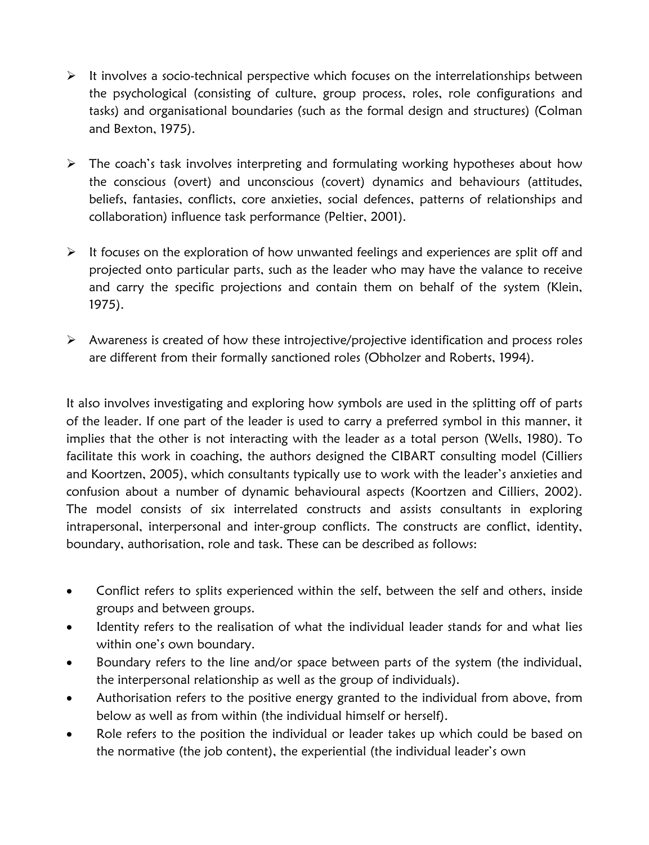- $\triangleright$  It involves a socio-technical perspective which focuses on the interrelationships between the psychological (consisting of culture, group process, roles, role configurations and tasks) and organisational boundaries (such as the formal design and structures) (Colman and Bexton, 1975).
- $\triangleright$  The coach's task involves interpreting and formulating working hypotheses about how the conscious (overt) and unconscious (covert) dynamics and behaviours (attitudes, beliefs, fantasies, conflicts, core anxieties, social defences, patterns of relationships and collaboration) influence task performance (Peltier, 2001).
- $\triangleright$  It focuses on the exploration of how unwanted feelings and experiences are split off and projected onto particular parts, such as the leader who may have the valance to receive and carry the specific projections and contain them on behalf of the system (Klein, 1975).
- $\triangleright$  Awareness is created of how these introjective/projective identification and process roles are different from their formally sanctioned roles (Obholzer and Roberts, 1994).

It also involves investigating and exploring how symbols are used in the splitting off of parts of the leader. If one part of the leader is used to carry a preferred symbol in this manner, it implies that the other is not interacting with the leader as a total person (Wells, 1980). To facilitate this work in coaching, the authors designed the CIBART consulting model (Cilliers and Koortzen, 2005), which consultants typically use to work with the leader's anxieties and confusion about a number of dynamic behavioural aspects (Koortzen and Cilliers, 2002). The model consists of six interrelated constructs and assists consultants in exploring intrapersonal, interpersonal and inter-group conflicts. The constructs are conflict, identity, boundary, authorisation, role and task. These can be described as follows:

- Conflict refers to splits experienced within the self, between the self and others, inside groups and between groups.
- Identity refers to the realisation of what the individual leader stands for and what lies within one's own boundary.
- Boundary refers to the line and/or space between parts of the system (the individual, the interpersonal relationship as well as the group of individuals).
- Authorisation refers to the positive energy granted to the individual from above, from below as well as from within (the individual himself or herself).
- Role refers to the position the individual or leader takes up which could be based on the normative (the job content), the experiential (the individual leader's own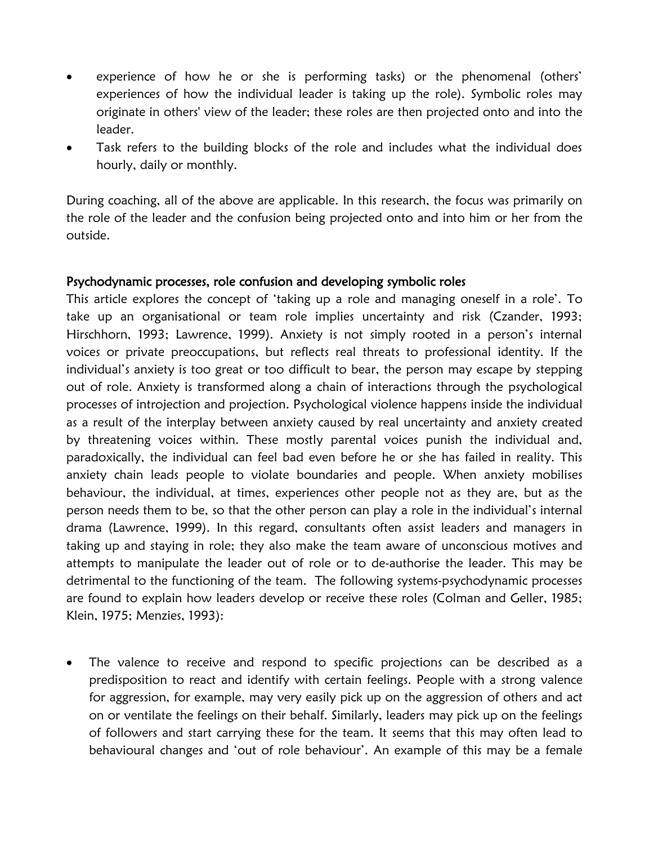- experience of how he or she is performing tasks) or the phenomenal (others' experiences of how the individual leader is taking up the role). Symbolic roles may originate in others' view of the leader; these roles are then projected onto and into the leader.
- Task refers to the building blocks of the role and includes what the individual does hourly, daily or monthly.

During coaching, all of the above are applicable. In this research, the focus was primarily on the role of the leader and the confusion being projected onto and into him or her from the outside.

## Psychodynamic processes, role confusion and developing symbolic roles

This article explores the concept of 'taking up a role and managing oneself in a role'. To take up an organisational or team role implies uncertainty and risk (Czander, 1993; Hirschhorn, 1993; Lawrence, 1999). Anxiety is not simply rooted in a person's internal voices or private preoccupations, but reflects real threats to professional identity. If the individual's anxiety is too great or too difficult to bear, the person may escape by stepping out of role. Anxiety is transformed along a chain of interactions through the psychological processes of introjection and projection. Psychological violence happens inside the individual as a result of the interplay between anxiety caused by real uncertainty and anxiety created by threatening voices within. These mostly parental voices punish the individual and, paradoxically, the individual can feel bad even before he or she has failed in reality. This anxiety chain leads people to violate boundaries and people. When anxiety mobilises behaviour, the individual, at times, experiences other people not as they are, but as the person needs them to be, so that the other person can play a role in the individual's internal drama (Lawrence, 1999). In this regard, consultants often assist leaders and managers in taking up and staying in role; they also make the team aware of unconscious motives and attempts to manipulate the leader out of role or to de-authorise the leader. This may be detrimental to the functioning of the team. The following systems-psychodynamic processes are found to explain how leaders develop or receive these roles (Colman and Geller, 1985; Klein, 1975; Menzies, 1993):

 The valence to receive and respond to specific projections can be described as a predisposition to react and identify with certain feelings. People with a strong valence for aggression, for example, may very easily pick up on the aggression of others and act on or ventilate the feelings on their behalf. Similarly, leaders may pick up on the feelings of followers and start carrying these for the team. It seems that this may often lead to behavioural changes and 'out of role behaviour'. An example of this may be a female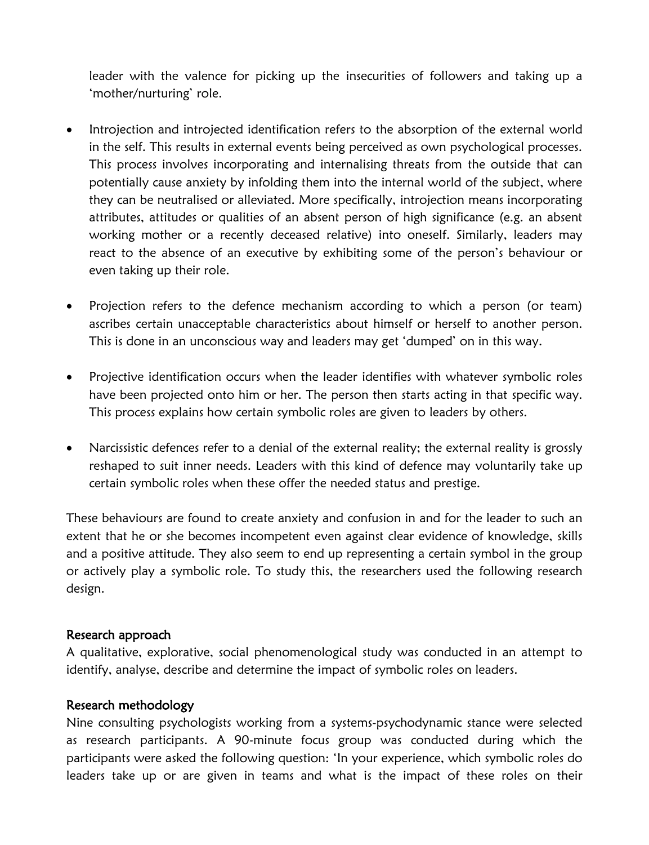leader with the valence for picking up the insecurities of followers and taking up a 'mother/nurturing' role.

- Introjection and introjected identification refers to the absorption of the external world in the self. This results in external events being perceived as own psychological processes. This process involves incorporating and internalising threats from the outside that can potentially cause anxiety by infolding them into the internal world of the subject, where they can be neutralised or alleviated. More specifically, introjection means incorporating attributes, attitudes or qualities of an absent person of high significance (e.g. an absent working mother or a recently deceased relative) into oneself. Similarly, leaders may react to the absence of an executive by exhibiting some of the person's behaviour or even taking up their role.
- Projection refers to the defence mechanism according to which a person (or team) ascribes certain unacceptable characteristics about himself or herself to another person. This is done in an unconscious way and leaders may get 'dumped' on in this way.
- Projective identification occurs when the leader identifies with whatever symbolic roles have been projected onto him or her. The person then starts acting in that specific way. This process explains how certain symbolic roles are given to leaders by others.
- Narcissistic defences refer to a denial of the external reality; the external reality is grossly reshaped to suit inner needs. Leaders with this kind of defence may voluntarily take up certain symbolic roles when these offer the needed status and prestige.

These behaviours are found to create anxiety and confusion in and for the leader to such an extent that he or she becomes incompetent even against clear evidence of knowledge, skills and a positive attitude. They also seem to end up representing a certain symbol in the group or actively play a symbolic role. To study this, the researchers used the following research design.

#### Research approach

A qualitative, explorative, social phenomenological study was conducted in an attempt to identify, analyse, describe and determine the impact of symbolic roles on leaders.

#### Research methodology

Nine consulting psychologists working from a systems-psychodynamic stance were selected as research participants. A 90-minute focus group was conducted during which the participants were asked the following question: 'In your experience, which symbolic roles do leaders take up or are given in teams and what is the impact of these roles on their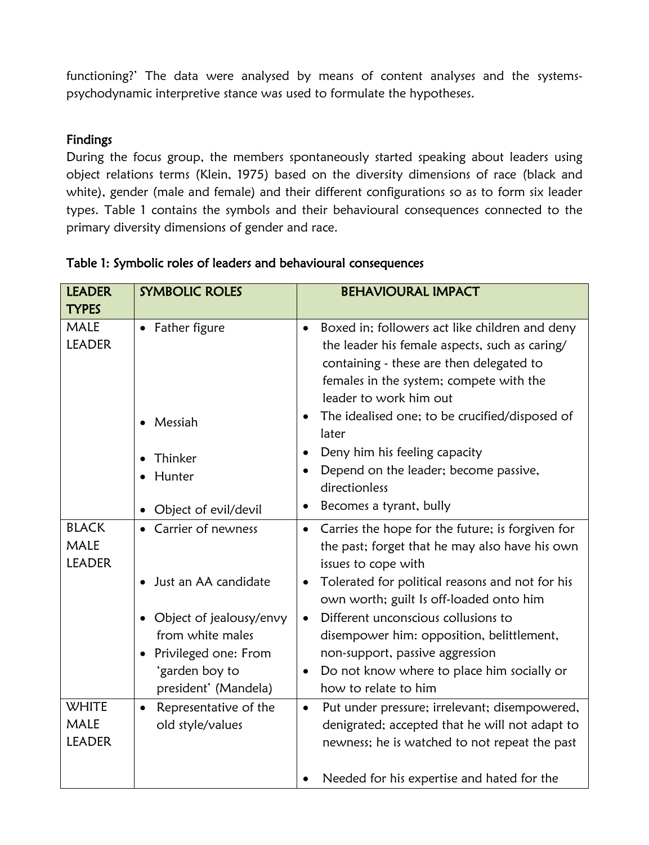functioning?' The data were analysed by means of content analyses and the systemspsychodynamic interpretive stance was used to formulate the hypotheses.

## Findings

During the focus group, the members spontaneously started speaking about leaders using object relations terms (Klein, 1975) based on the diversity dimensions of race (black and white), gender (male and female) and their different configurations so as to form six leader types. Table 1 contains the symbols and their behavioural consequences connected to the primary diversity dimensions of gender and race.

| <b>LEADER</b>                                | <b>SYMBOLIC ROLES</b>                                  | <b>BEHAVIOURAL IMPACT</b>                                                                                                                                                                                                                                                                     |
|----------------------------------------------|--------------------------------------------------------|-----------------------------------------------------------------------------------------------------------------------------------------------------------------------------------------------------------------------------------------------------------------------------------------------|
| <b>TYPES</b>                                 |                                                        |                                                                                                                                                                                                                                                                                               |
| <b>MALE</b><br><b>LEADER</b>                 | • Father figure<br>Messiah<br>$\bullet$                | Boxed in; followers act like children and deny<br>$\bullet$<br>the leader his female aspects, such as caring/<br>containing - these are then delegated to<br>females in the system; compete with the<br>leader to work him out<br>The idealised one; to be crucified/disposed of<br>$\bullet$ |
|                                              |                                                        | later                                                                                                                                                                                                                                                                                         |
|                                              | Thinker                                                | Deny him his feeling capacity<br>$\bullet$                                                                                                                                                                                                                                                    |
|                                              | Hunter<br>$\bullet$                                    | Depend on the leader; become passive,<br>$\bullet$<br>directionless                                                                                                                                                                                                                           |
|                                              | Object of evil/devil<br>$\bullet$                      | Becomes a tyrant, bully<br>$\bullet$                                                                                                                                                                                                                                                          |
| <b>BLACK</b><br><b>MALE</b><br><b>LEADER</b> | • Carrier of newness                                   | Carries the hope for the future; is forgiven for<br>$\bullet$<br>the past; forget that he may also have his own<br>issues to cope with                                                                                                                                                        |
|                                              | Just an AA candidate<br>$\bullet$                      | Tolerated for political reasons and not for his<br>$\bullet$<br>own worth; guilt Is off-loaded onto him                                                                                                                                                                                       |
|                                              | • Object of jealousy/envy                              | Different unconscious collusions to<br>$\bullet$                                                                                                                                                                                                                                              |
|                                              | from white males                                       | disempower him: opposition, belittlement,                                                                                                                                                                                                                                                     |
|                                              | Privileged one: From                                   | non-support, passive aggression                                                                                                                                                                                                                                                               |
|                                              | 'garden boy to<br>president' (Mandela)                 | Do not know where to place him socially or<br>$\bullet$<br>how to relate to him                                                                                                                                                                                                               |
| <b>WHITE</b><br><b>MALE</b><br><b>LEADER</b> | Representative of the<br>$\bullet$<br>old style/values | Put under pressure; irrelevant; disempowered,<br>$\bullet$<br>denigrated; accepted that he will not adapt to<br>newness; he is watched to not repeat the past                                                                                                                                 |
|                                              |                                                        | Needed for his expertise and hated for the                                                                                                                                                                                                                                                    |

## Table 1: Symbolic roles of leaders and behavioural consequences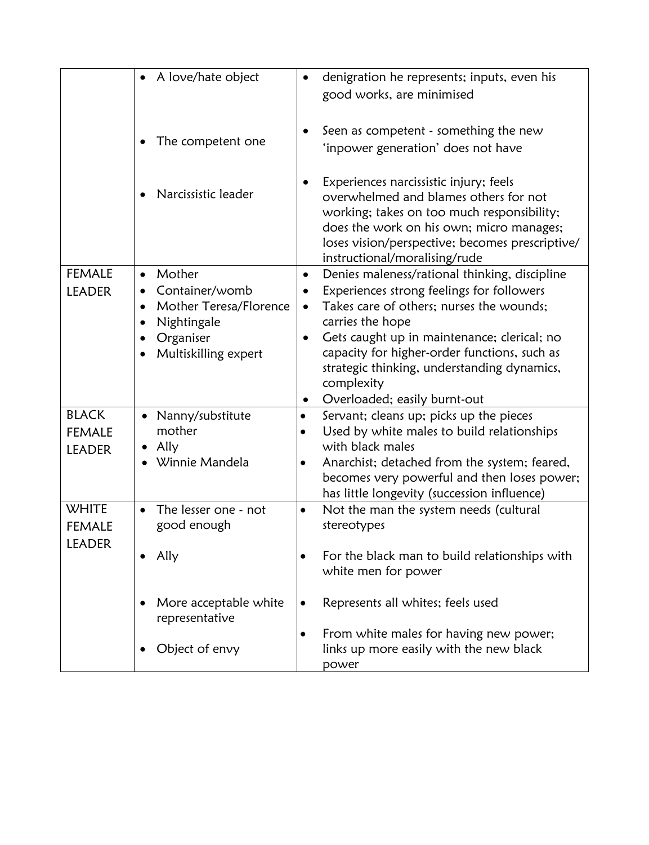|                                                | A love/hate object                                                                                                                                                      | denigration he represents; inputs, even his<br>good works, are minimised                                                                                                                                                                                                                                                                                                 |
|------------------------------------------------|-------------------------------------------------------------------------------------------------------------------------------------------------------------------------|--------------------------------------------------------------------------------------------------------------------------------------------------------------------------------------------------------------------------------------------------------------------------------------------------------------------------------------------------------------------------|
|                                                | The competent one                                                                                                                                                       | Seen as competent - something the new<br>'inpower generation' does not have                                                                                                                                                                                                                                                                                              |
|                                                | Narcissistic leader<br>$\bullet$                                                                                                                                        | Experiences narcissistic injury; feels<br>overwhelmed and blames others for not<br>working; takes on too much responsibility;<br>does the work on his own; micro manages;<br>loses vision/perspective; becomes prescriptive/<br>instructional/moralising/rude                                                                                                            |
| <b>FEMALE</b><br><b>LEADER</b>                 | Mother<br>$\bullet$<br>Container/womb<br>$\bullet$<br>Mother Teresa/Florence<br>$\bullet$<br>Nightingale<br>$\bullet$<br>Organiser<br>Multiskilling expert<br>$\bullet$ | Denies maleness/rational thinking, discipline<br>٠<br>Experiences strong feelings for followers<br>Takes care of others; nurses the wounds;<br>carries the hope<br>Gets caught up in maintenance; clerical; no<br>capacity for higher-order functions, such as<br>strategic thinking, understanding dynamics,<br>complexity<br>Overloaded; easily burnt-out<br>$\bullet$ |
| <b>BLACK</b><br><b>FEMALE</b><br><b>LEADER</b> | Nanny/substitute<br>mother<br>$\bullet$ Ally<br>Winnie Mandela                                                                                                          | Servant; cleans up; picks up the pieces<br>٠<br>Used by white males to build relationships<br>$\bullet$<br>with black males<br>Anarchist; detached from the system; feared,<br>$\bullet$<br>becomes very powerful and then loses power;<br>has little longevity (succession influence)                                                                                   |
| <b>WHITE</b><br><b>FEMALE</b><br><b>LEADER</b> | The lesser one - not<br>$\bullet$<br>good enough<br>Ally                                                                                                                | Not the man the system needs (cultural<br>$\bullet$<br>stereotypes<br>For the black man to build relationships with<br>$\bullet$<br>white men for power                                                                                                                                                                                                                  |
|                                                | More acceptable white<br>representative<br>Object of envy                                                                                                               | Represents all whites; feels used<br>$\bullet$<br>From white males for having new power;<br>$\bullet$<br>links up more easily with the new black<br>power                                                                                                                                                                                                                |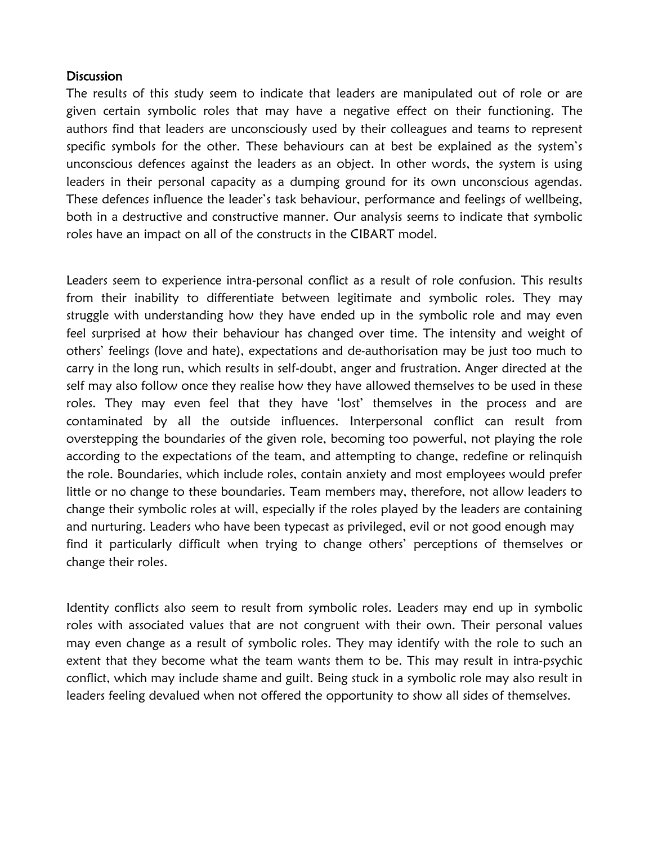#### **Discussion**

The results of this study seem to indicate that leaders are manipulated out of role or are given certain symbolic roles that may have a negative effect on their functioning. The authors find that leaders are unconsciously used by their colleagues and teams to represent specific symbols for the other. These behaviours can at best be explained as the system's unconscious defences against the leaders as an object. In other words, the system is using leaders in their personal capacity as a dumping ground for its own unconscious agendas. These defences influence the leader's task behaviour, performance and feelings of wellbeing, both in a destructive and constructive manner. Our analysis seems to indicate that symbolic roles have an impact on all of the constructs in the CIBART model.

Leaders seem to experience intra-personal conflict as a result of role confusion. This results from their inability to differentiate between legitimate and symbolic roles. They may struggle with understanding how they have ended up in the symbolic role and may even feel surprised at how their behaviour has changed over time. The intensity and weight of others' feelings (love and hate), expectations and de-authorisation may be just too much to carry in the long run, which results in self-doubt, anger and frustration. Anger directed at the self may also follow once they realise how they have allowed themselves to be used in these roles. They may even feel that they have 'lost' themselves in the process and are contaminated by all the outside influences. Interpersonal conflict can result from overstepping the boundaries of the given role, becoming too powerful, not playing the role according to the expectations of the team, and attempting to change, redefine or relinquish the role. Boundaries, which include roles, contain anxiety and most employees would prefer little or no change to these boundaries. Team members may, therefore, not allow leaders to change their symbolic roles at will, especially if the roles played by the leaders are containing and nurturing. Leaders who have been typecast as privileged, evil or not good enough may find it particularly difficult when trying to change others' perceptions of themselves or change their roles.

Identity conflicts also seem to result from symbolic roles. Leaders may end up in symbolic roles with associated values that are not congruent with their own. Their personal values may even change as a result of symbolic roles. They may identify with the role to such an extent that they become what the team wants them to be. This may result in intra-psychic conflict, which may include shame and guilt. Being stuck in a symbolic role may also result in leaders feeling devalued when not offered the opportunity to show all sides of themselves.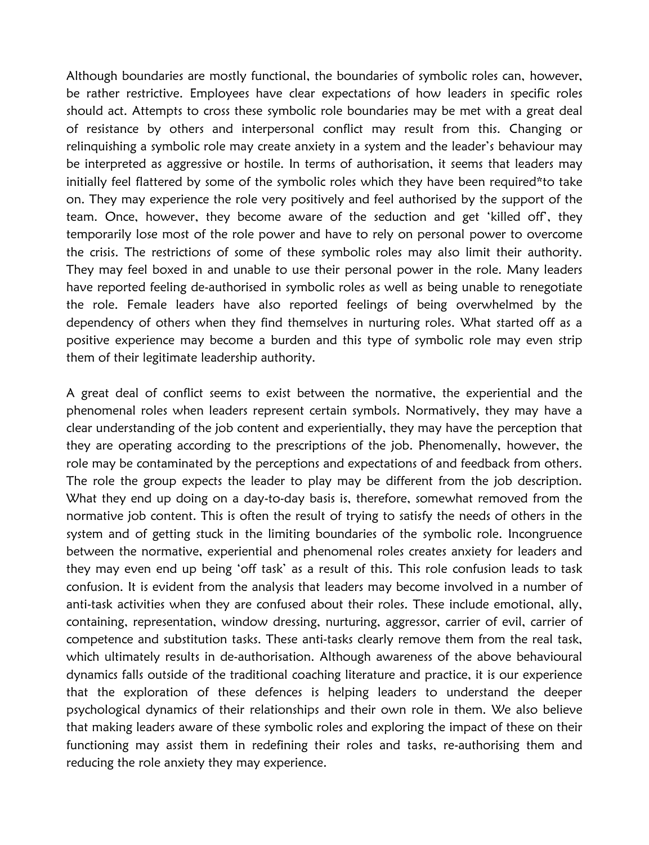Although boundaries are mostly functional, the boundaries of symbolic roles can, however, be rather restrictive. Employees have clear expectations of how leaders in specific roles should act. Attempts to cross these symbolic role boundaries may be met with a great deal of resistance by others and interpersonal conflict may result from this. Changing or relinquishing a symbolic role may create anxiety in a system and the leader's behaviour may be interpreted as aggressive or hostile. In terms of authorisation, it seems that leaders may initially feel flattered by some of the symbolic roles which they have been required\*to take on. They may experience the role very positively and feel authorised by the support of the team. Once, however, they become aware of the seduction and get 'killed off', they temporarily lose most of the role power and have to rely on personal power to overcome the crisis. The restrictions of some of these symbolic roles may also limit their authority. They may feel boxed in and unable to use their personal power in the role. Many leaders have reported feeling de-authorised in symbolic roles as well as being unable to renegotiate the role. Female leaders have also reported feelings of being overwhelmed by the dependency of others when they find themselves in nurturing roles. What started off as a positive experience may become a burden and this type of symbolic role may even strip them of their legitimate leadership authority.

A great deal of conflict seems to exist between the normative, the experiential and the phenomenal roles when leaders represent certain symbols. Normatively, they may have a clear understanding of the job content and experientially, they may have the perception that they are operating according to the prescriptions of the job. Phenomenally, however, the role may be contaminated by the perceptions and expectations of and feedback from others. The role the group expects the leader to play may be different from the job description. What they end up doing on a day-to-day basis is, therefore, somewhat removed from the normative job content. This is often the result of trying to satisfy the needs of others in the system and of getting stuck in the limiting boundaries of the symbolic role. Incongruence between the normative, experiential and phenomenal roles creates anxiety for leaders and they may even end up being 'off task' as a result of this. This role confusion leads to task confusion. It is evident from the analysis that leaders may become involved in a number of anti-task activities when they are confused about their roles. These include emotional, ally, containing, representation, window dressing, nurturing, aggressor, carrier of evil, carrier of competence and substitution tasks. These anti-tasks clearly remove them from the real task, which ultimately results in de-authorisation. Although awareness of the above behavioural dynamics falls outside of the traditional coaching literature and practice, it is our experience that the exploration of these defences is helping leaders to understand the deeper psychological dynamics of their relationships and their own role in them. We also believe that making leaders aware of these symbolic roles and exploring the impact of these on their functioning may assist them in redefining their roles and tasks, re-authorising them and reducing the role anxiety they may experience.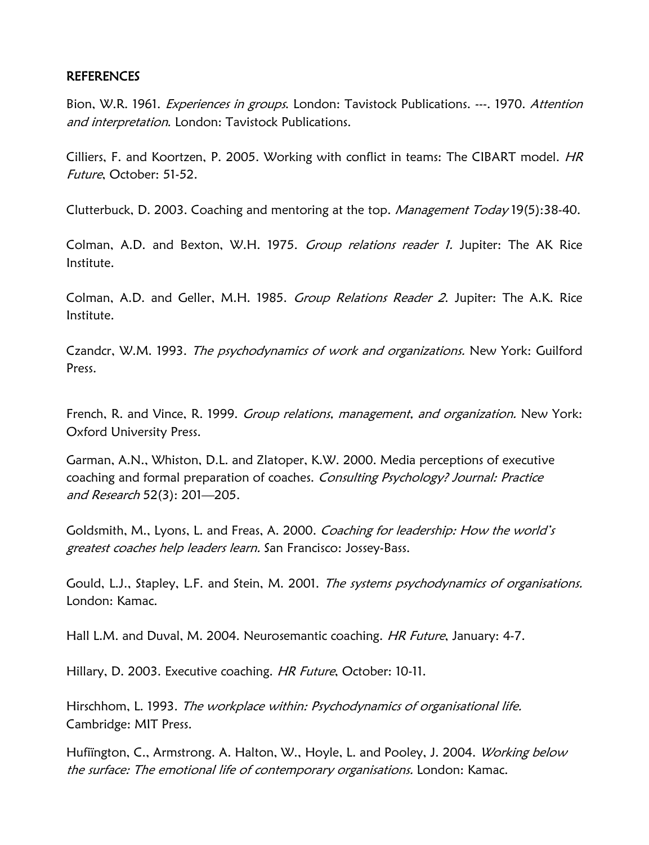#### REFERENCES

Bion, W.R. 1961. *Experiences in groups*. London: Tavistock Publications. ---. 1970. Attention and interpretation. London: Tavistock Publications.

Cilliers, F. and Koortzen, P. 2005. Working with conflict in teams: The CIBART model. HR Future, October: 51-52.

Clutterbuck, D. 2003. Coaching and mentoring at the top. Management Today 19(5):38-40.

Colman, A.D. and Bexton, W.H. 1975. Group relations reader 1. Jupiter: The AK Rice Institute.

Colman, A.D. and Geller, M.H. 1985. Group Relations Reader 2. Jupiter: The A.K. Rice Institute.

Czandcr, W.M. 1993. The psychodynamics of work and organizations. New York: Guilford Press.

French, R. and Vince, R. 1999. *Group relations, management, and organization*. New York: Oxford University Press.

Garman, A.N., Whiston, D.L. and Zlatoper, K.W. 2000. Media perceptions of executive coaching and formal preparation of coaches. Consulting Psychology? Journal: Practice and Research 52(3): 201—205.

Goldsmith, M., Lyons, L. and Freas, A. 2000. Coaching for leadership: How the world'<sup>s</sup> greatest coaches help leaders learn. San Francisco: Jossey-Bass.

Gould, L.J., Stapley, L.F. and Stein, M. 2001. The systems psychodynamics of organisations. London: Kamac.

Hall L.M. and Duval, M. 2004. Neurosemantic coaching. HR Future, January: 4-7.

Hillary, D. 2003. Executive coaching. HR Future, October: 10-11.

Hirschhom, L. 1993. The workplace within: Psychodynamics of organisational life. Cambridge: MIT Press.

Hufiington, C., Armstrong. A. Halton, W., Hoyle, L. and Pooley, J. 2004. Working below the surface: The emotional life of contemporary organisations. London: Kamac.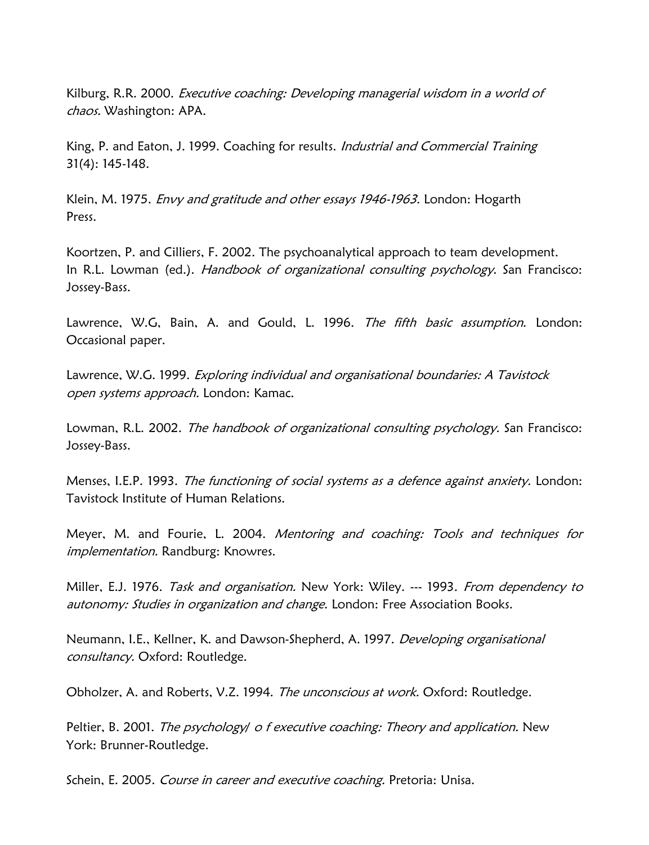Kilburg, R.R. 2000. Executive coaching: Developing managerial wisdom in a world of chaos. Washington: APA.

King, P. and Eaton, J. 1999. Coaching for results. Industrial and Commercial Training 31(4): 145-148.

Klein, M. 1975. *Envy and gratitude and other essays 1946-1963*. London: Hogarth Press.

Koortzen, P. and Cilliers, F. 2002. The psychoanalytical approach to team development. In R.L. Lowman (ed.). Handbook of organizational consulting psychology. San Francisco: Jossey-Bass.

Lawrence, W.G, Bain, A. and Gould, L. 1996. The fifth basic assumption. London: Occasional paper.

Lawrence, W.G. 1999. Exploring individual and organisational boundaries: A Tavistock open systems approach. London: Kamac.

Lowman, R.L. 2002. The handbook of organizational consulting psychology. San Francisco: Jossey-Bass.

Menses, I.E.P. 1993. The functioning of social systems as a defence against anxiety. London: Tavistock Institute of Human Relations.

Meyer, M. and Fourie, L. 2004. Mentoring and coaching: Tools and techniques for implementation. Randburg: Knowres.

Miller, E.J. 1976. Task and organisation. New York: Wiley. --- 1993. From dependency to autonomy: Studies in organization and change. London: Free Association Books.

Neumann, I.E., Kellner, K. and Dawson-Shepherd, A. 1997. Developing organisational consultancy. Oxford: Routledge.

Obholzer, A. and Roberts, V.Z. 1994. The unconscious at work. Oxford: Routledge.

Peltier, B. 2001. The psychology/ o f executive coaching: Theory and application. New York: Brunner-Routledge.

Schein, E. 2005. Course in career and executive coaching. Pretoria: Unisa.